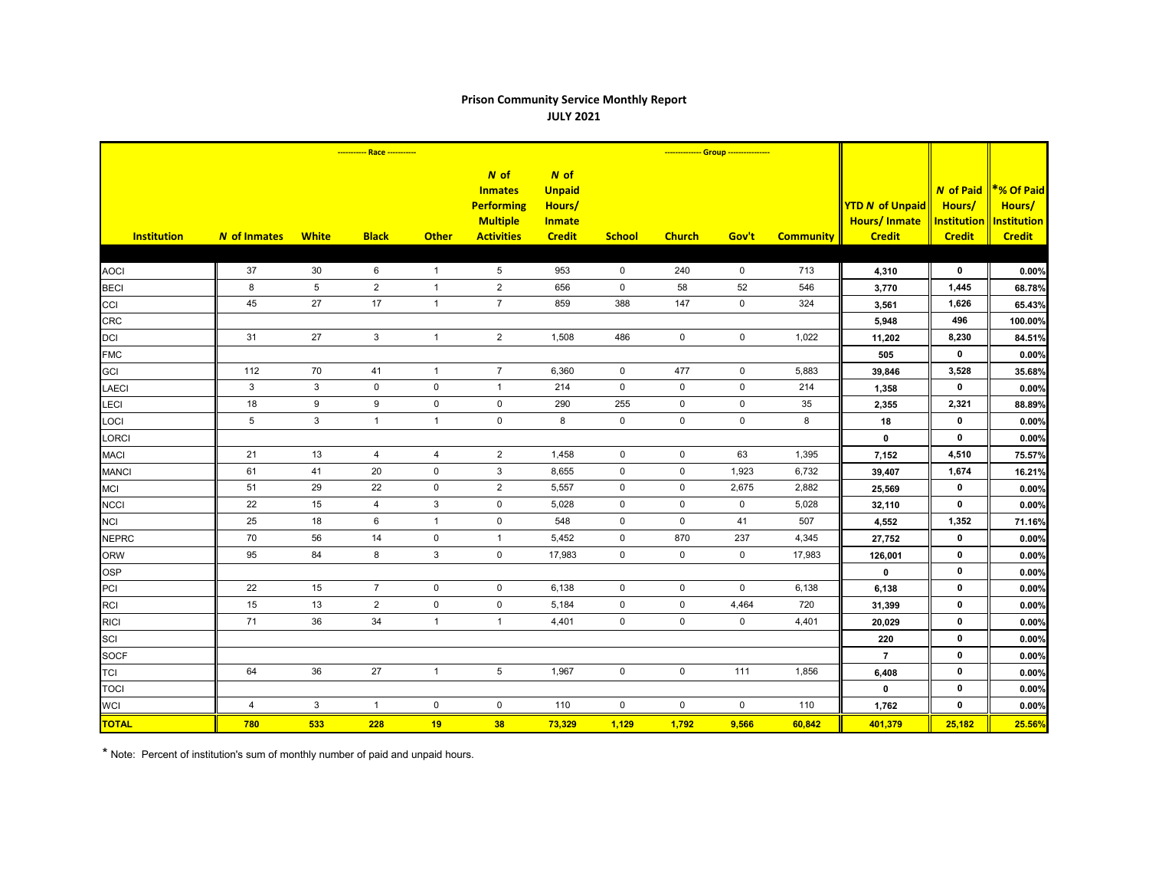## **Prison Community Service Monthly Report JULY 2021**

|                    | ----------- Race ----------- |                 |                |                |                                                                                       |                                                                   |               | -------------- Group ---------------- |             |                  |                                                                |                                                                   |                                                                    |
|--------------------|------------------------------|-----------------|----------------|----------------|---------------------------------------------------------------------------------------|-------------------------------------------------------------------|---------------|---------------------------------------|-------------|------------------|----------------------------------------------------------------|-------------------------------------------------------------------|--------------------------------------------------------------------|
| <b>Institution</b> | N of Inmates                 | <b>White</b>    | <b>Black</b>   | <b>Other</b>   | $N$ of<br><b>Inmates</b><br><b>Performing</b><br><b>Multiple</b><br><b>Activities</b> | N of<br><b>Unpaid</b><br>Hours/<br><b>Inmate</b><br><b>Credit</b> | <b>School</b> | <b>Church</b>                         | Gov't       | <b>Community</b> | <b>YTD N of Unpaid</b><br><b>Hours/Inmate</b><br><b>Credit</b> | <b>N</b> of Paid<br>Hours/<br><b>Institution</b><br><b>Credit</b> | <b>*% Of Paid</b><br>Hours/<br><b>Institution</b><br><b>Credit</b> |
|                    |                              |                 |                |                |                                                                                       |                                                                   |               |                                       |             |                  |                                                                |                                                                   |                                                                    |
| <b>AOCI</b>        | 37                           | 30              | 6              | $\overline{1}$ | $\,$ 5 $\,$                                                                           | 953                                                               | $\mathbf 0$   | 240                                   | $\mathbf 0$ | 713              | 4,310                                                          | 0                                                                 | 0.00%                                                              |
| <b>BECI</b>        | 8                            | $5\phantom{.0}$ | $\mathbf{2}$   | $\mathbf{1}$   | $\sqrt{2}$                                                                            | 656                                                               | $\mathbf 0$   | 58                                    | 52          | 546              | 3,770                                                          | 1,445                                                             | 68.78%                                                             |
| CCI                | 45                           | 27              | 17             | $\mathbf{1}$   | $\overline{7}$                                                                        | 859                                                               | 388           | 147                                   | $\mathbf 0$ | 324              | 3,561                                                          | 1,626                                                             | 65.43%                                                             |
| <b>CRC</b>         |                              |                 |                |                |                                                                                       |                                                                   |               |                                       |             |                  | 5,948                                                          | 496                                                               | 100.00%                                                            |
| DCI                | 31                           | 27              | $\mathbf{3}$   | $\mathbf{1}$   | $\overline{2}$                                                                        | 1,508                                                             | 486           | $\mathbf 0$                           | $\pmb{0}$   | 1,022            | 11,202                                                         | 8,230                                                             | 84.51%                                                             |
| <b>FMC</b>         |                              |                 |                |                |                                                                                       |                                                                   |               |                                       |             |                  | 505                                                            | $\mathbf 0$                                                       | 0.00%                                                              |
| GCI                | 112                          | 70              | 41             | $\mathbf{1}$   | $\boldsymbol{7}$                                                                      | 6,360                                                             | $\mathbf 0$   | 477                                   | $\pmb{0}$   | 5,883            | 39,846                                                         | 3,528                                                             | 35.68%                                                             |
| <b>LAECI</b>       | 3                            | $\mathbf{3}$    | $\mathbf 0$    | $\mathbf 0$    | $\mathbf{1}$                                                                          | 214                                                               | $\mathbf 0$   | $\mathsf{O}$                          | $\mathbf 0$ | 214              | 1,358                                                          | $\mathbf 0$                                                       | 0.00%                                                              |
| <b>LECI</b>        | 18                           | 9               | 9              | $\mathbf 0$    | 0                                                                                     | 290                                                               | 255           | $\mathbf 0$                           | $\pmb{0}$   | 35               | 2,355                                                          | 2,321                                                             | 88.89%                                                             |
| LOCI               | 5                            | $\mathbf{3}$    | $\mathbf{1}$   | $\mathbf{1}$   | $\mathsf 0$                                                                           | $\bf{8}$                                                          | $\mathsf 0$   | $\mathsf{O}\xspace$                   | $\pmb{0}$   | $\bf8$           | ${\bf 18}$                                                     | 0                                                                 | 0.00%                                                              |
| LORCI              |                              |                 |                |                |                                                                                       |                                                                   |               |                                       |             |                  | $\mathbf 0$                                                    | $\mathbf 0$                                                       | 0.00%                                                              |
| <b>MACI</b>        | 21                           | 13              | 4              | 4              | $\overline{c}$                                                                        | 1,458                                                             | $\mathbf 0$   | $\mathbf 0$                           | 63          | 1,395            | 7,152                                                          | 4,510                                                             | 75.57%                                                             |
| <b>MANCI</b>       | 61                           | 41              | 20             | $\mathbf 0$    | $\mathbf{3}$                                                                          | 8,655                                                             | $\mathbf 0$   | $\mathsf{O}$                          | 1,923       | 6,732            | 39,407                                                         | 1,674                                                             | 16.21%                                                             |
| <b>MCI</b>         | 51                           | 29              | 22             | $\mathbf 0$    | $\overline{2}$                                                                        | 5,557                                                             | $\mathbf 0$   | $\mathbf 0$                           | 2,675       | 2,882            | 25,569                                                         | $\mathbf 0$                                                       | 0.00%                                                              |
| <b>NCCI</b>        | 22                           | 15              | $\overline{4}$ | 3              | $\mathbf 0$                                                                           | 5,028                                                             | 0             | $\mathsf{O}$                          | $\mathbf 0$ | 5,028            | 32,110                                                         | $\mathbf 0$                                                       | 0.00%                                                              |
| <b>NCI</b>         | 25                           | 18              | 6              | $\mathbf{1}$   | $\mathsf{O}\xspace$                                                                   | 548                                                               | $\mathsf 0$   | $\mathsf 0$                           | 41          | 507              | 4,552                                                          | 1,352                                                             | 71.16%                                                             |
| <b>NEPRC</b>       | 70                           | 56              | 14             | $\mathbf 0$    | $\mathbf{1}$                                                                          | 5,452                                                             | $\mathbf 0$   | 870                                   | 237         | 4,345            | 27,752                                                         | $\mathbf 0$                                                       | 0.00%                                                              |
| <b>ORW</b>         | 95                           | 84              | 8              | 3              | $\mathsf{O}\xspace$                                                                   | 17,983                                                            | $\mathbf 0$   | $\mathbf 0$                           | $\mathbf 0$ | 17,983           | 126,001                                                        | $\mathbf 0$                                                       | 0.00%                                                              |
| <b>OSP</b>         |                              |                 |                |                |                                                                                       |                                                                   |               |                                       |             |                  | $\mathbf 0$                                                    | $\mathbf 0$                                                       | 0.00%                                                              |
| PCI                | 22                           | 15              | $\overline{7}$ | $\mathbf 0$    | $\mathbf 0$                                                                           | 6,138                                                             | $\mathbf 0$   | $\mathsf{O}\xspace$                   | $\mathbf 0$ | 6,138            | 6,138                                                          | $\mathbf 0$                                                       | 0.00%                                                              |
| <b>RCI</b>         | 15                           | 13              | $\overline{2}$ | $\pmb{0}$      | $\mathsf{O}\xspace$                                                                   | 5,184                                                             | $\mathsf{O}$  | $\mathsf{O}$                          | 4,464       | 720              | 31,399                                                         | $\mathbf 0$                                                       | 0.00%                                                              |
| <b>RICI</b>        | 71                           | 36              | 34             | $\mathbf{1}$   | $\mathbf{1}$                                                                          | 4,401                                                             | $\mathbf 0$   | $\mathsf{O}$                          | $\mathbf 0$ | 4,401            | 20,029                                                         | 0                                                                 | 0.00%                                                              |
| SCI                |                              |                 |                |                |                                                                                       |                                                                   |               |                                       |             |                  | 220                                                            | $\mathbf 0$                                                       | 0.00%                                                              |
| <b>SOCF</b>        |                              |                 |                |                |                                                                                       |                                                                   |               |                                       |             |                  | $\overline{7}$                                                 | 0                                                                 | 0.00%                                                              |
| <b>TCI</b>         | 64                           | 36              | 27             | $\mathbf{1}$   | $\,$ 5 $\,$                                                                           | 1,967                                                             | $\mathsf{O}$  | $\mathsf{O}\xspace$                   | 111         | 1,856            | 6,408                                                          | $\mathbf 0$                                                       | 0.00%                                                              |
| <b>TOCI</b>        |                              |                 |                |                |                                                                                       |                                                                   |               |                                       |             |                  | $\mathbf 0$                                                    | $\mathbf 0$                                                       | 0.00%                                                              |
| <b>WCI</b>         | 4                            | $\mathbf{3}$    | $\mathbf{1}$   | $\pmb{0}$      | $\mathbf 0$                                                                           | 110                                                               | $\mathbf 0$   | $\mathbf 0$                           | $\mathbf 0$ | 110              | 1,762                                                          | $\mathbf 0$                                                       | 0.00%                                                              |
| <b>TOTAL</b>       | 780                          | 533             | 228            | 19             | 38                                                                                    | 73,329                                                            | 1,129         | 1,792                                 | 9,566       | 60,842           | 401,379                                                        | 25,182                                                            | 25.56%                                                             |

\* Note: Percent of institution's sum of monthly number of paid and unpaid hours.